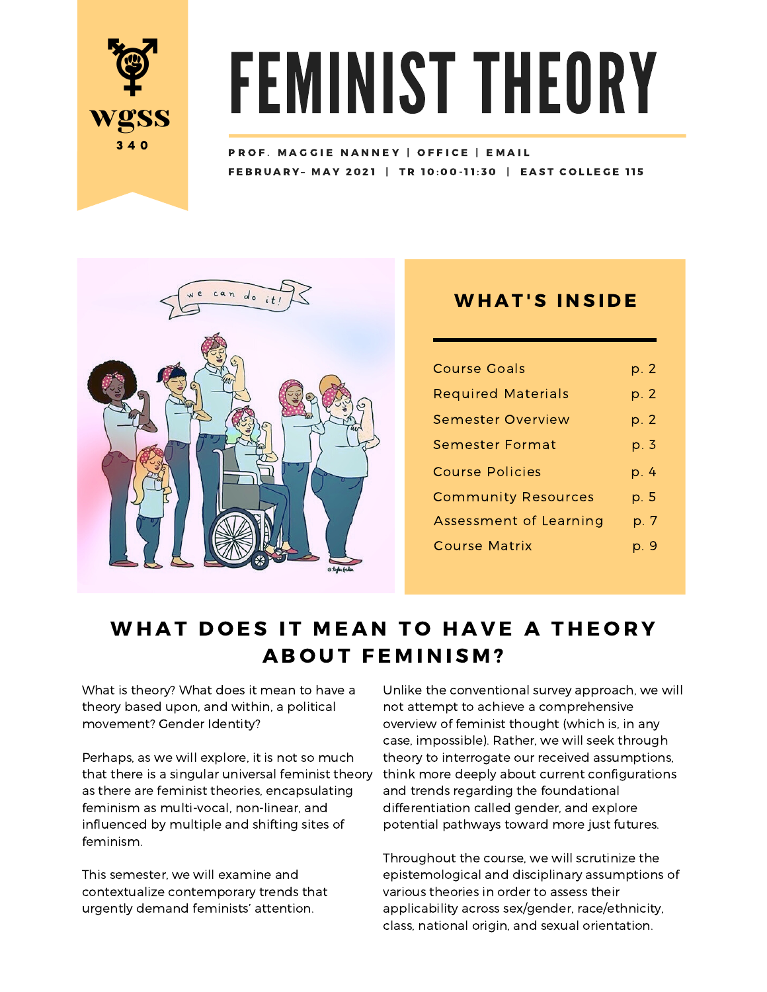

# FEMINIST THEORY

FEBRUARY- MAY 2021 | TR 10:00-11:30 | EAST COLLEGE 115 PROF. MAGGIE NANNEY | OFFICE | EMAIL



# **WHAT'S INSIDE**

| <b>Course Goals</b>        | p. 2 |
|----------------------------|------|
| <b>Required Materials</b>  | p. 2 |
| Semester Overview          | p. 2 |
| Semester Format            | p. 3 |
| <b>Course Policies</b>     | p. 4 |
| <b>Community Resources</b> | p. 5 |
| Assessment of Learning     | p. 7 |
| <b>Course Matrix</b>       | p. 9 |
|                            |      |

# WHAT DOES IT MEAN TO HAVE A THEORY **ABOUT FEMINISM?**

What is theory? What does it mean to have a theory based upon, and within, a political movement? Gender Identity?

Perhaps, as we will explore, it is not so much as there are feminist theories, encapsulating feminism as multi-vocal, non-linear, and influenced by multiple and shifting sites of feminism.

This semester, we will examine and contextualize contemporary trends that urgently demand feminists' attention.

that there is a singular universal feminist theory think more deeply about current configurations Unlike the conventional survey approach, we will not attempt to achieve a comprehensive overview of feminist thought (which is, in any case, impossible). Rather, we will seek through theory to interrogate our received assumptions, and trends regarding the foundational differentiation called gender, and explore potential pathways toward more just futures.

> Throughout the course, we will scrutinize the epistemological and disciplinary assumptions of various theories in order to assess their applicability across sex/gender, race/ethnicity, class, national origin, and sexual orientation.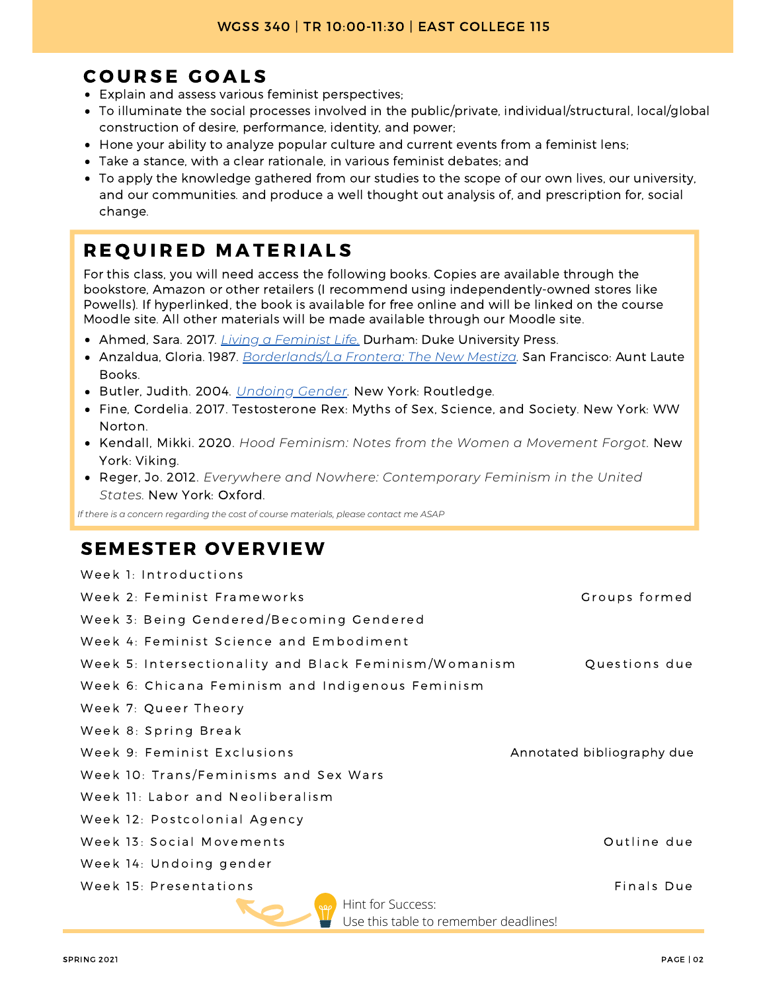# COURSE GOALS

- Explain and assess various feminist perspectives;
- To illuminate the social processes involved in the public/private, individual/structural, local/global construction of desire, performance, identity, and power;
- Hone your ability to analyze popular culture and current events from a feminist lens;
- Take a stance, with a clear rationale, in various feminist debates; and
- To apply the knowledge gathered from our studies to the scope of our own lives, our university, and our communities. and produce a well thought out analysis of, and prescription for, social change.

# REQUIRED MATERIALS

For this class, you will need access the following books. Copies are available through the bookstore, Amazon or other retailers (I recommend using independently-owned stores like Powells). If hyperlinked, the book is available for free online and will be linked on the course Moodle site. All other materials will be made available through our Moodle site.

- Ahmed, Sara. 2017. *Living a Feminist Life.* Durham: Duke University Press.
- Anzaldua, Gloria. 1987. *Borderlands/La Frontera: The New Mestiza.* San Francisco: Aunt Laute Books.
- Butler, Judith. 2004. *Undoing Gender.* New York: Routledge.
- Fine, Cordelia. 2017. Testosterone Rex: Myths of Sex, Science, and Society. New York: WW Norton.
- Kendall, Mikki. 2020. *Hood Feminism: Notes from the Women a Movement Forgot.* New York: Viking.
- Reger, Jo. 2012. *Everywhere and Nowhere: Contemporary Feminism in the United States.* New York: Oxford.

*If there is a concern regarding the cost of course materials, please contact me ASAP*

# SEMESTER OVERVIEW

| Week 1: Introductions                                 |                            |
|-------------------------------------------------------|----------------------------|
| Week 2: Feminist Frameworks                           | Groups formed              |
| Week 3: Being Gendered/Becoming Gendered              |                            |
| Week 4: Feminist Science and Embodiment               |                            |
| Week 5: Intersectionality and Black Feminism/Womanism | Questions due              |
| Week 6: Chicana Feminism and Indigenous Feminism      |                            |
| Week 7: Queer Theory                                  |                            |
| Week 8: Spring Break                                  |                            |
| Week 9: Feminist Exclusions                           | Annotated bibliography due |
| Week 10: Trans/Feminisms and Sex Wars                 |                            |
| Week 11: Labor and Neoliberalism                      |                            |
| Week 12: Postcolonial Agency                          |                            |
| Week 13: Social Movements                             | Outline due                |
| Week 14: Undoing gender                               |                            |
| Week 15: Presentations                                | Finals Due                 |
| Hint for Success:<br>990                              |                            |
| Use this table to remember deadlines!                 |                            |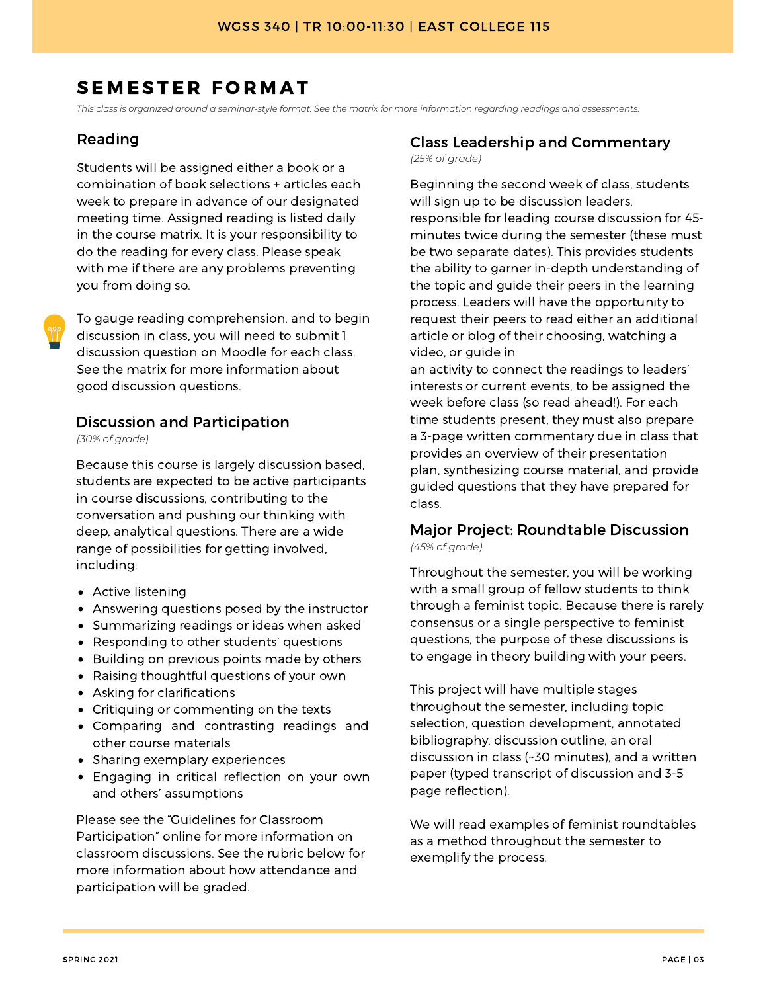# SEMESTER FORMAT

This class is organized around a seminar-style format. See the matrix for more information regarding readings and assessments.

#### Reading

Students will be assigned either a book or a combination of book selections + articles each week to prepare in advance of our designated meeting time. Assigned reading is listed daily in the course matrix. It is your responsibility to do the reading for every class. Please speak with me if there are any problems preventing you from doing so.

To gauge reading comprehension, and to begin discussion in class, you will need to submit 1 discussion question on Moodle for each class. See the matrix for more information about good discussion questions.

#### Discussion and Participation

*(30% of grade)*

Because this course is largely discussion based, students are expected to be active participants in course discussions, contributing to the conversation and pushing our thinking with deep, analytical questions. There are a wide range of possibilities for getting involved, including:

- Active listening
- Answering questions posed by the instructor
- Summarizing readings or ideas when asked
- Responding to other students' questions
- Building on previous points made by others
- Raising thoughtful questions of your own
- Asking for clarifications
- Critiquing or commenting on the texts
- Comparing and contrasting readings and other course materials
- Sharing exemplary experiences
- Engaging in critical reflection on your own and others' assumptions

Please see the "Guidelines for Classroom Participation" online for more information on classroom discussions. See the rubric below for more information about how attendance and participation will be graded.

#### Class Leadership and Commentary *(25% of grade)*

Beginning the second week of class, students will sign up to be discussion leaders, responsible for leading course discussion for 45 minutes twice during the semester (these must be two separate dates). This provides students the ability to garner in-depth understanding of the topic and guide their peers in the learning process. Leaders will have the opportunity to request their peers to read either an additional article or blog of their choosing, watching a video, or guide in

an activity to connect the readings to leaders' interests or current events, to be assigned the week before class (so read ahead!). For each time students present, they must also prepare a 3-page written commentary due in class that provides an overview of their presentation plan, synthesizing course material, and provide guided questions that they have prepared for class.

#### Major Project: Roundtable Discussion *(45% of grade)*

Throughout the semester, you will be working with a small group of fellow students to think through a feminist topic. Because there is rarely consensus or a single perspective to feminist questions, the purpose of these discussions is to engage in theory building with your peers.

This project will have multiple stages throughout the semester, including topic selection, question development, annotated bibliography, discussion outline, an oral discussion in class (~30 minutes), and a written paper (typed transcript of discussion and 3-5 page reflection).

We will read examples of feminist roundtables as a method throughout the semester to exemplify the process.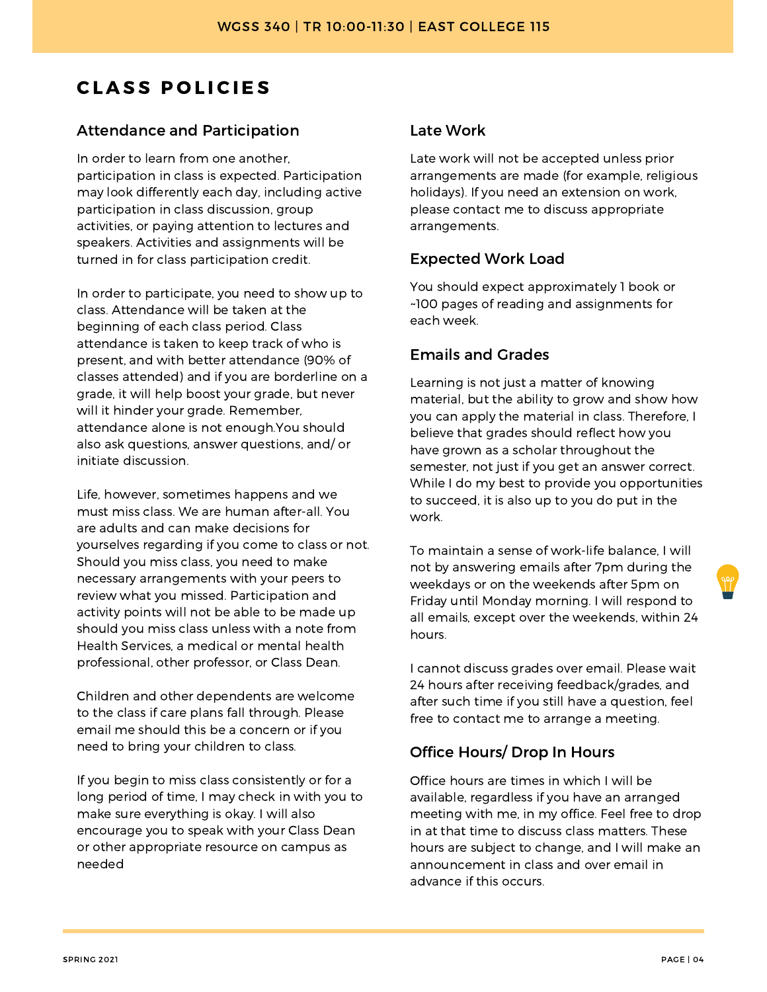# **CLASS POLICIES**

#### Attendance and Participation

In order to learn from one another, participation in class is expected. Participation may look differently each day, including active participation in class discussion, group activities, or paying attention to lectures and speakers. Activities and assignments will be turned in for class participation credit.

In order to participate, you need to show up to class. Attendance will be taken at the beginning of each class period. Class attendance is taken to keep track of who is present, and with better attendance (90% of classes attended) and if you are borderline on a grade, it will help boost your grade, but never will it hinder your grade. Remember, attendance alone is not enough.You should also ask questions, answer questions, and/ or initiate discussion.

Life, however, sometimes happens and we must miss class. We are human after-all. You are adults and can make decisions for yourselves regarding if you come to class or not. Should you miss class, you need to make necessary arrangements with your peers to review what you missed. Participation and activity points will not be able to be made up should you miss class unless with a note from Health Services, a medical or mental health professional, other professor, or Class Dean.

Children and other dependents are welcome to the class if care plans fall through. Please email me should this be a concern or if you need to bring your children to class.

If you begin to miss class consistently or for a long period of time, I may check in with you to make sure everything is okay. I will also encourage you to speak with your Class Dean or other appropriate resource on campus as needed

#### Late Work

Late work will not be accepted unless prior arrangements are made (for example, religious holidays). If you need an extension on work, please contact me to discuss appropriate arrangements.

#### Expected Work Load

You should expect approximately 1 book or ~100 pages of reading and assignments for each week.

#### Emails and Grades

Learning is not just a matter of knowing material, but the ability to grow and show how you can apply the material in class. Therefore, I believe that grades should reflect how you have grown as a scholar throughout the semester, not just if you get an answer correct. While I do my best to provide you opportunities to succeed, it is also up to you do put in the work.

To maintain a sense of work-life balance, I will not by answering emails after 7pm during the weekdays or on the weekends after 5pm on Friday until Monday morning. I will respond to all emails, except over the weekends, within 24 hours.

I cannot discuss grades over email. Please wait 24 hours after receiving feedback/grades, and after such time if you still have a question, feel free to contact me to arrange a meeting.

#### Office Hours/ Drop In Hours

Office hours are times in which I will be available, regardless if you have an arranged meeting with me, in my office. Feel free to drop in at that time to discuss class matters. These hours are subject to change, and I will make an announcement in class and over email in advance if this occurs.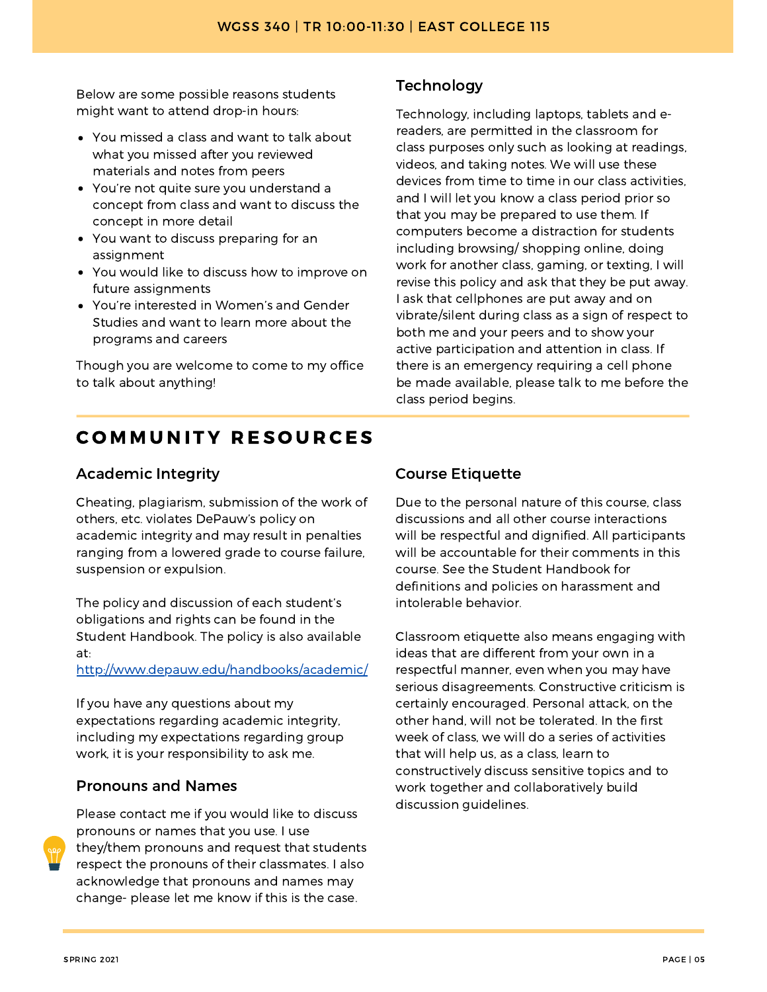Below are some possible reasons students might want to attend drop-in hours:

- You missed a class and want to talk about what you missed after you reviewed materials and notes from peers
- You're not quite sure you understand a concept from class and want to discuss the concept in more detail
- You want to discuss preparing for an assignment
- You would like to discuss how to improve on future assignments
- You're interested in Women's and Gender Studies and want to learn more about the programs and careers

Though you are welcome to come to my office to talk about anything!

#### **Technology**

Technology, including laptops, tablets and ereaders, are permitted in the classroom for class purposes only such as looking at readings, videos, and taking notes. We will use these devices from time to time in our class activities, and I will let you know a class period prior so that you may be prepared to use them. If computers become a distraction for students including browsing/ shopping online, doing work for another class, gaming, or texting, I will revise this policy and ask that they be put away. I ask that cellphones are put away and on vibrate/silent during class as a sign of respect to both me and your peers and to show your active participation and attention in class. If there is an emergency requiring a cell phone be made available, please talk to me before the class period begins.

# **COMMUNITY RESOURCES**

#### Academic Integrity

Cheating, plagiarism, submission of the work of others, etc. violates DePauw's policy on academic integrity and may result in penalties ranging from a lowered grade to course failure, suspension or expulsion.

The policy and discussion of each student's obligations and rights can be found in the Student Handbook. The policy is also available at:

http://www.depauw.edu/handbooks/academic/

If you have any questions about my expectations regarding academic integrity, including my expectations regarding group work, it is your responsibility to ask me.

#### Pronouns and Names



Please contact me if you would like to discuss pronouns or names that you use. I use they/them pronouns and request that students respect the pronouns of their classmates. I also acknowledge that pronouns and names may change- please let me know if this is the case.

#### Course Etiquette

Due to the personal nature of this course, class discussions and all other course interactions will be respectful and dignified. All participants will be accountable for their comments in this course. See the Student Handbook for definitions and policies on harassment and intolerable behavior.

Classroom etiquette also means engaging with ideas that are different from your own in a respectful manner, even when you may have serious disagreements. Constructive criticism is certainly encouraged. Personal attack, on the other hand, will not be tolerated. In the first week of class, we will do a series of activities that will help us, as a class, learn to constructively discuss sensitive topics and to work together and collaboratively build discussion guidelines.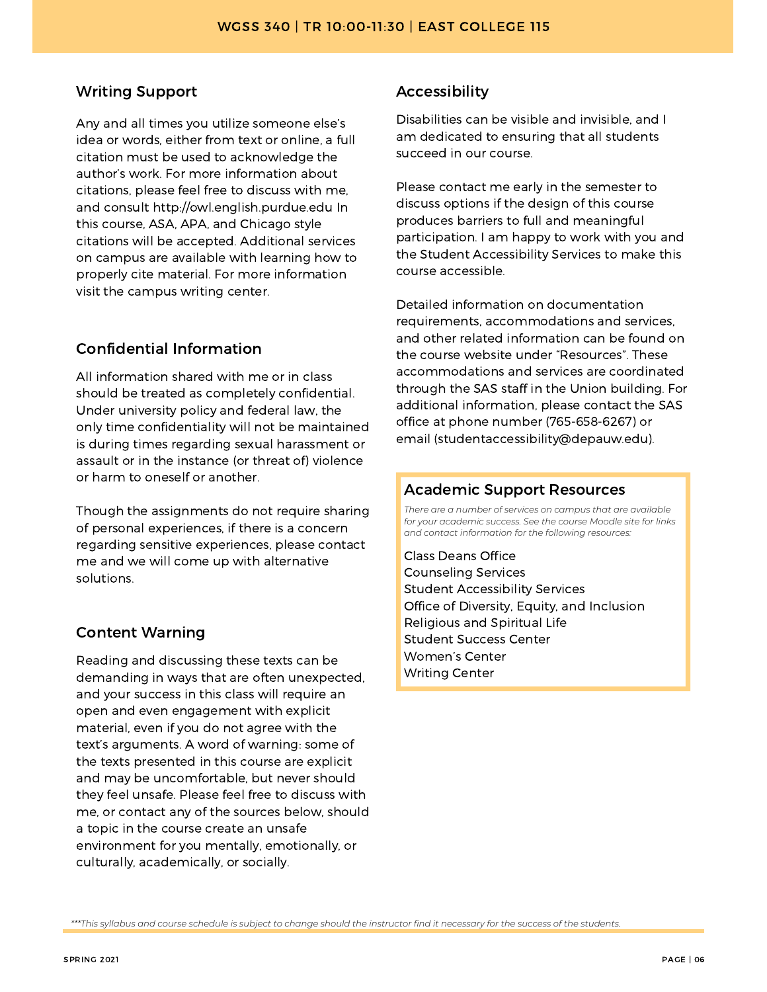#### Writing Support

Any and all times you utilize someone else's idea or words, either from text or online, a full citation must be used to acknowledge the author's work. For more information about citations, please feel free to discuss with me, and consult http://owl.english.purdue.edu In this course, ASA, APA, and Chicago style citations will be accepted. Additional services on campus are available with learning how to properly cite material. For more information visit the campus writing center.

#### Confidential Information

All information shared with me or in class should be treated as completely confidential. Under university policy and federal law, the only time confidentiality will not be maintained is during times regarding sexual harassment or assault or in the instance (or threat of) violence or harm to oneself or another.

Though the assignments do not require sharing of personal experiences, if there is a concern regarding sensitive experiences, please contact me and we will come up with alternative solutions.

#### Content Warning

Reading and discussing these texts can be demanding in ways that are often unexpected, and your success in this class will require an open and even engagement with explicit material, even if you do not agree with the text's arguments. A word of warning: some of the texts presented in this course are explicit and may be uncomfortable, but never should they feel unsafe. Please feel free to discuss with me, or contact any of the sources below, should a topic in the course create an unsafe environment for you mentally, emotionally, or culturally, academically, or socially.

#### Accessibility

Disabilities can be visible and invisible, and I am dedicated to ensuring that all students succeed in our course.

Please contact me early in the semester to discuss options if the design of this course produces barriers to full and meaningful participation. I am happy to work with you and the Student Accessibility Services to make this course accessible.

Detailed information on documentation requirements, accommodations and services, and other related information can be found on the course website under "Resources". These accommodations and services are coordinated through the SAS staff in the Union building. For additional information, please contact the SAS office at phone number (765-658-6267) or email (studentaccessibility@depauw.edu).

#### Academic Support Resources

*There are a number of services on campus that are available for your academic success. See the course Moodle site for links and contact information for the following resources:*

Class Deans Office Counseling Services Student Accessibility Services Office of Diversity, Equity, and Inclusion Religious and Spiritual Life Student Success Center Women's Center Writing Center

\*\*\*This syllabus and course schedule is subject to change should the instructor find it necessary for the success of the students.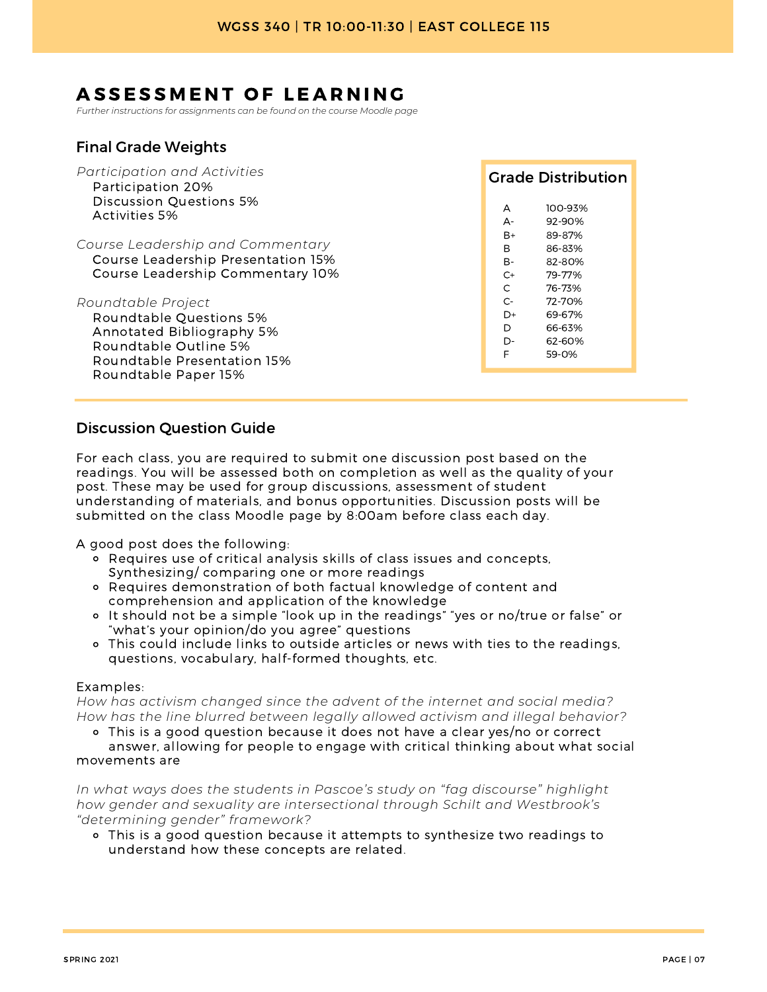# ASSESSMENT OF LEARNING

*Further instructions for assignments can be found on the course Moodle page*

#### Final Grade Weights

| Participation and Activities<br>Participation 20%                                                                                                          |                              | <b>Grade Distribution</b>                      |  |
|------------------------------------------------------------------------------------------------------------------------------------------------------------|------------------------------|------------------------------------------------|--|
| Discussion Questions 5%<br>Activities 5%                                                                                                                   | $\overline{A}$<br>A-         | 100-93%<br>92-90%                              |  |
| Course Leadership and Commentary<br>Course Leadership Presentation 15%<br>Course Leadership Commentary 10%                                                 | $B+$<br>B<br>B-<br>$C+$<br>C | 89-87%<br>86-83%<br>82-80%<br>79-77%<br>76-73% |  |
| Roundtable Project<br>Roundtable Questions 5%<br>Annotated Bibliography 5%<br>Roundtable Outline 5%<br>Roundtable Presentation 15%<br>Roundtable Paper 15% | $C-$<br>D+<br>D<br>D-<br>F   | 72-70%<br>69-67%<br>66-63%<br>62-60%<br>59-0%  |  |

#### Discussion Question Guide

For each class, you are required to submit one discussion post based on the readings. You will be assessed both on completion as well as the quality of your post. These may be used for group discussions, assessment of student understanding of materials, and bonus opportunities. Discussion posts will be submitted on the class Moodle page by 8:00am before class each day.

A good post does the following:

- Requires use of critical analysis skills of class issues and concepts, Synthesizing/ comparing one or more readings
- Requires demonstration of both factual knowledge of content and comprehension and application of the knowledge
- It should not be a simple "look up in the readings" "yes or no/true or false" or "what's your opinion/do you agree" questions
- This could include links to outside articles or news with ties to the readings, questions, vocabulary, half-formed thoughts, etc.

#### Examples:

*How has activism changed since the advent of the internet and social media? How has the line blurred between legally allowed activism and illegal behavior?*

This is a good question because it does not have a clear yes/no or correct

answer, allowing for people to engage with critical thinking about what social movements are

*In what ways does the students in Pascoe's study on "fag discourse" highlight how gender and sexuality are intersectional through Schilt and Westbrook's "determining gender" framework?*

This is a good question because it attempts to synthesize two readings to understand how these concepts are related.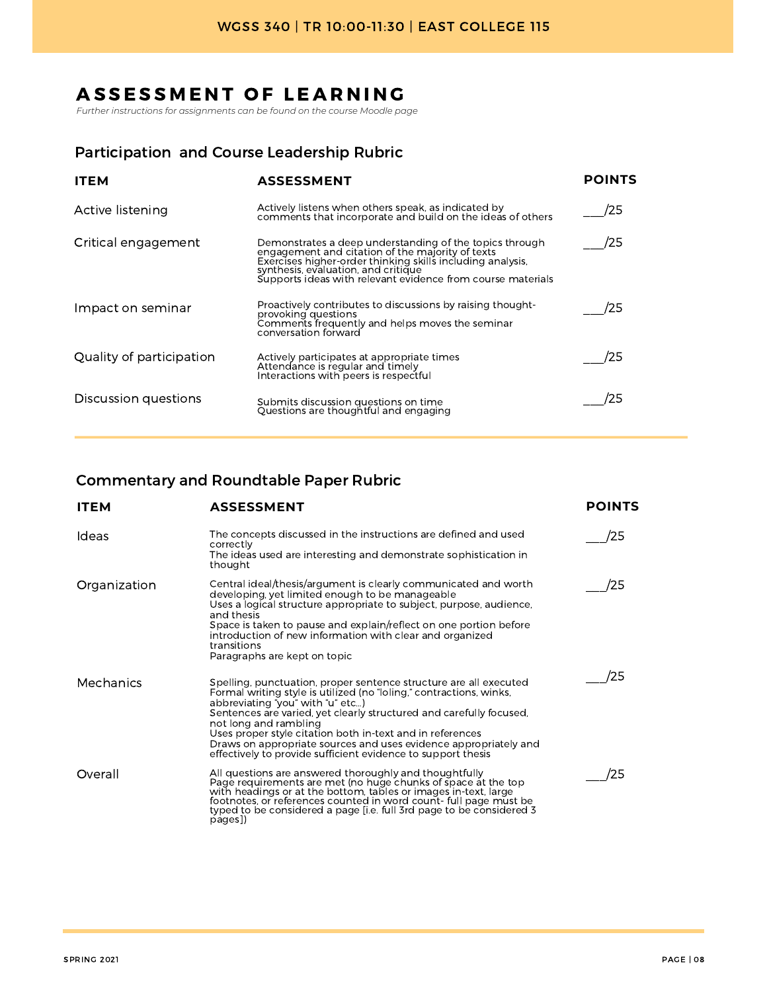# ASSESSMENT OF LEARNING

*Further instructions for assignments can be found on the course Moodle page*

#### Participation and Course Leadership Rubric

| <b>ITEM</b>              | <b>ASSESSMENT</b>                                                                                                                                                                                                                                                               | <b>POINTS</b> |
|--------------------------|---------------------------------------------------------------------------------------------------------------------------------------------------------------------------------------------------------------------------------------------------------------------------------|---------------|
| Active listening         | Actively listens when others speak, as indicated by<br>comments that incorporate and build on the ideas of others                                                                                                                                                               | /25           |
| Critical engagement      | Demonstrates a deep understanding of the topics through<br>engagement and citation of the majority of texts<br>Exercises higher-order thinking skills including analysis,<br>synthesis, evaluation, and critique<br>Supports ideas with relevant evidence from course materials | /25           |
| Impact on seminar        | Proactively contributes to discussions by raising thought-<br>provoking questions<br>Comments frequently and helps moves the seminar<br>conversation forward                                                                                                                    | 25            |
| Quality of participation | Actively participates at appropriate times<br>Attendance is regular and timely<br>Interactions with peers is respectful                                                                                                                                                         | '25           |
| Discussion questions     | Submits discussion questions on time<br>Questions are thoughtful and engaging                                                                                                                                                                                                   | 125           |

#### Commentary and Roundtable Paper Rubric

| <b>ITEM</b>  | <b>ASSESSMENT</b>                                                                                                                                                                                                                                                                                                                                                                                                                                                             | <b>POINTS</b> |
|--------------|-------------------------------------------------------------------------------------------------------------------------------------------------------------------------------------------------------------------------------------------------------------------------------------------------------------------------------------------------------------------------------------------------------------------------------------------------------------------------------|---------------|
| Ideas        | The concepts discussed in the instructions are defined and used<br>correctly<br>The ideas used are interesting and demonstrate sophistication in<br>thought                                                                                                                                                                                                                                                                                                                   | 25            |
| Organization | Central ideal/thesis/argument is clearly communicated and worth<br>developing, yet limited enough to be manageable<br>Uses a logical structure appropriate to subject, purpose, audience,<br>and thesis<br>Space is taken to pause and explain/reflect on one portion before<br>introduction of new information with clear and organized<br>transitions<br>Paragraphs are kept on topic                                                                                       | 25            |
| Mechanics    | Spelling, punctuation, proper sentence structure are all executed<br>Formal writing style is utilized (no "loling," contractions, winks,<br>abbreviating "you" with "u" etc)<br>Sentences are varied, yet clearly structured and carefully focused,<br>not long and rambling<br>Uses proper style citation both in-text and in references<br>Draws on appropriate sources and uses evidence appropriately and<br>effectively to provide sufficient evidence to support thesis | 25            |
| Overall      | All questions are answered thoroughly and thoughtfully<br>Page requirements are met (no huge chunks of space at the top<br>with headings or at the bottom, tables or images in-text, large<br>footnotes, or references counted in word count- full page must be<br>typed to be considered a page [i.e. full 3rd page to be considered 3<br>pages])                                                                                                                            | '25           |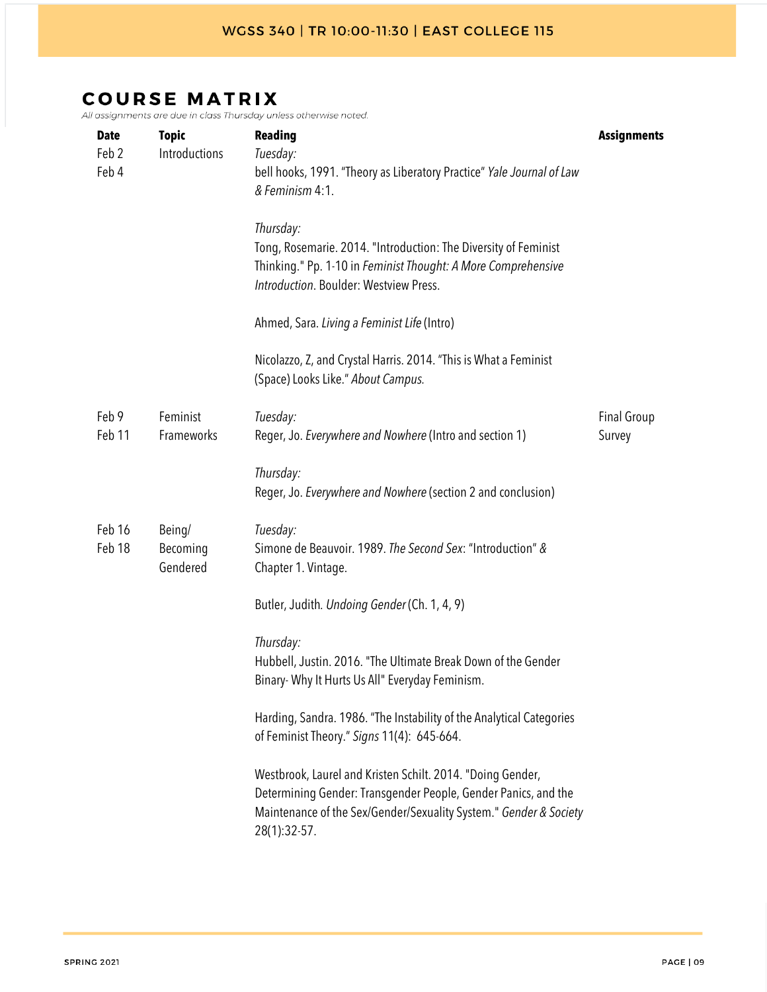| <b>Date</b><br>Feb <sub>2</sub><br>Feb 4 | <b>Topic</b><br>Introductions  | <b>Reading</b><br>Tuesday:<br>bell hooks, 1991. "Theory as Liberatory Practice" Yale Journal of Law<br>& Feminism 4:1.<br>Thursday:<br>Tong, Rosemarie. 2014. "Introduction: The Diversity of Feminist<br>Thinking." Pp. 1-10 in Feminist Thought: A More Comprehensive<br>Introduction. Boulder: Westview Press.<br>Ahmed, Sara. Living a Feminist Life (Intro) | <b>Assignments</b>           |
|------------------------------------------|--------------------------------|------------------------------------------------------------------------------------------------------------------------------------------------------------------------------------------------------------------------------------------------------------------------------------------------------------------------------------------------------------------|------------------------------|
|                                          |                                | Nicolazzo, Z, and Crystal Harris. 2014. "This is What a Feminist<br>(Space) Looks Like." About Campus.                                                                                                                                                                                                                                                           |                              |
| Feb 9<br>Feb 11                          | Feminist<br>Frameworks         | Tuesday:<br>Reger, Jo. Everywhere and Nowhere (Intro and section 1)                                                                                                                                                                                                                                                                                              | <b>Final Group</b><br>Survey |
|                                          |                                | Thursday:<br>Reger, Jo. Everywhere and Nowhere (section 2 and conclusion)                                                                                                                                                                                                                                                                                        |                              |
| Feb 16<br>Feb 18                         | Being/<br>Becoming<br>Gendered | Tuesday:<br>Simone de Beauvoir. 1989. The Second Sex: "Introduction" &<br>Chapter 1. Vintage.                                                                                                                                                                                                                                                                    |                              |
|                                          |                                | Butler, Judith. Undoing Gender (Ch. 1, 4, 9)                                                                                                                                                                                                                                                                                                                     |                              |
|                                          |                                | Thursday:<br>Hubbell, Justin. 2016. "The Ultimate Break Down of the Gender<br>Binary- Why It Hurts Us All" Everyday Feminism.                                                                                                                                                                                                                                    |                              |
|                                          |                                | Harding, Sandra. 1986. "The Instability of the Analytical Categories<br>of Feminist Theory." Signs 11(4): 645-664.                                                                                                                                                                                                                                               |                              |
|                                          |                                | Westbrook, Laurel and Kristen Schilt. 2014. "Doing Gender,<br>Determining Gender: Transgender People, Gender Panics, and the<br>Maintenance of the Sex/Gender/Sexuality System." Gender & Society<br>28(1):32-57.                                                                                                                                                |                              |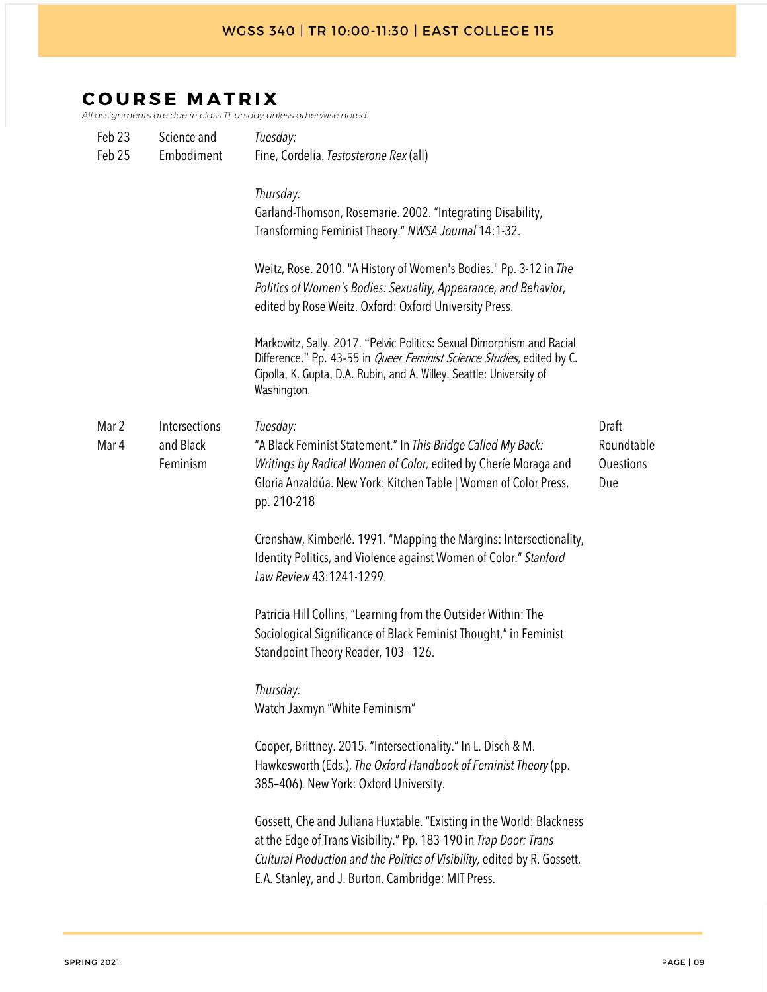| Feb 23         | Science and                            | Tuesday:                                                                                                                                                                                                                                                                     |                                         |
|----------------|----------------------------------------|------------------------------------------------------------------------------------------------------------------------------------------------------------------------------------------------------------------------------------------------------------------------------|-----------------------------------------|
| Feb 25         | Embodiment                             | Fine, Cordelia. Testosterone Rex (all)                                                                                                                                                                                                                                       |                                         |
|                |                                        | Thursday:<br>Garland-Thomson, Rosemarie. 2002. "Integrating Disability,<br>Transforming Feminist Theory." NWSA Journal 14:1-32.                                                                                                                                              |                                         |
|                |                                        | Weitz, Rose. 2010. "A History of Women's Bodies." Pp. 3-12 in The<br>Politics of Women's Bodies: Sexuality, Appearance, and Behavior,<br>edited by Rose Weitz. Oxford: Oxford University Press.                                                                              |                                         |
|                |                                        | Markowitz, Sally. 2017. "Pelvic Politics: Sexual Dimorphism and Racial<br>Difference." Pp. 43-55 in <i>Queer Feminist Science Studies</i> , edited by C.<br>Cipolla, K. Gupta, D.A. Rubin, and A. Willey. Seattle: University of<br>Washington.                              |                                         |
| Mar 2<br>Mar 4 | Intersections<br>and Black<br>Feminism | Tuesday:<br>"A Black Feminist Statement." In This Bridge Called My Back:<br>Writings by Radical Women of Color, edited by Cherie Moraga and<br>Gloria Anzaldúa. New York: Kitchen Table   Women of Color Press,<br>pp. 210-218                                               | Draft<br>Roundtable<br>Questions<br>Due |
|                |                                        | Crenshaw, Kimberlé. 1991. "Mapping the Margins: Intersectionality,<br>Identity Politics, and Violence against Women of Color." Stanford<br>Law Review 43:1241-1299.                                                                                                          |                                         |
|                |                                        | Patricia Hill Collins, "Learning from the Outsider Within: The<br>Sociological Significance of Black Feminist Thought," in Feminist<br>Standpoint Theory Reader, 103 - 126.                                                                                                  |                                         |
|                |                                        | Thursday:<br>Watch Jaxmyn "White Feminism"                                                                                                                                                                                                                                   |                                         |
|                |                                        | Cooper, Brittney. 2015. "Intersectionality." In L. Disch & M.<br>Hawkesworth (Eds.), The Oxford Handbook of Feminist Theory (pp.<br>385-406). New York: Oxford University.                                                                                                   |                                         |
|                |                                        | Gossett, Che and Juliana Huxtable. "Existing in the World: Blackness<br>at the Edge of Trans Visibility." Pp. 183-190 in Trap Door: Trans<br>Cultural Production and the Politics of Visibility, edited by R. Gossett,<br>E.A. Stanley, and J. Burton. Cambridge: MIT Press. |                                         |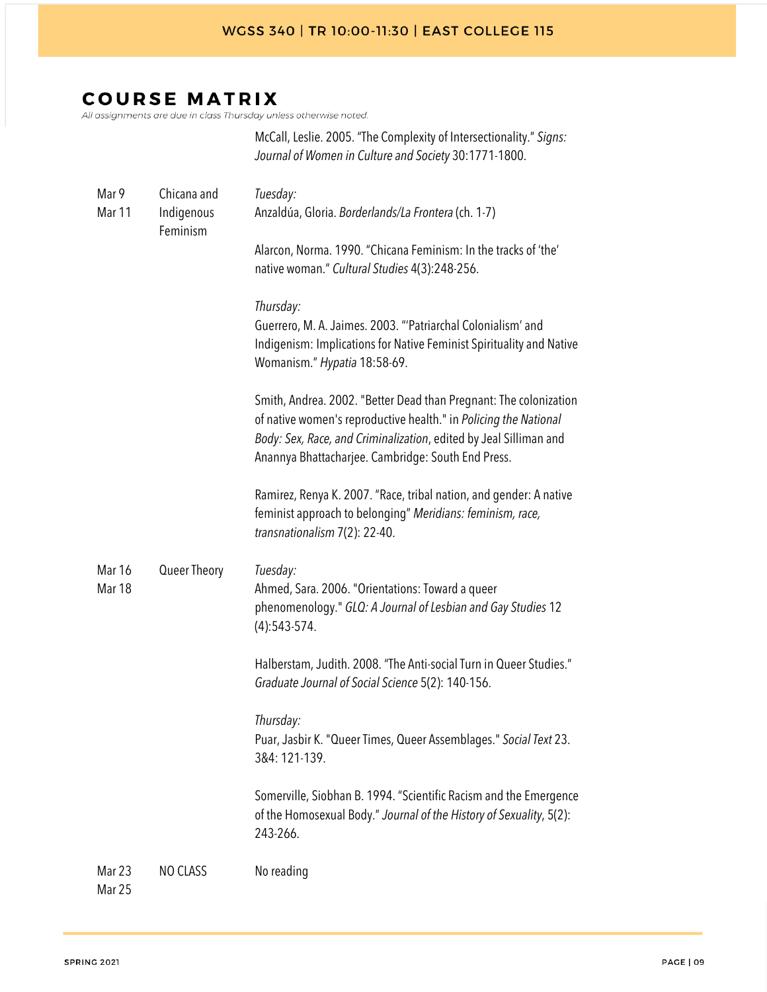McCall, Leslie. 2005. "The Complexity of Intersectionality." Signs:

# **COURSE MATRIX**

|                         |                                       | Journal of Women in Culture and Society 30:1771-1800.                                                                                                                                                                                                            |
|-------------------------|---------------------------------------|------------------------------------------------------------------------------------------------------------------------------------------------------------------------------------------------------------------------------------------------------------------|
| Mar 9<br>Mar 11         | Chicana and<br>Indigenous<br>Feminism | Tuesday:<br>Anzaldúa, Gloria. Borderlands/La Frontera (ch. 1-7)                                                                                                                                                                                                  |
|                         |                                       | Alarcon, Norma. 1990. "Chicana Feminism: In the tracks of 'the'<br>native woman." Cultural Studies 4(3):248-256.                                                                                                                                                 |
|                         |                                       | Thursday:<br>Guerrero, M. A. Jaimes. 2003. "'Patriarchal Colonialism' and<br>Indigenism: Implications for Native Feminist Spirituality and Native<br>Womanism." Hypatia 18:58-69.                                                                                |
|                         |                                       | Smith, Andrea. 2002. "Better Dead than Pregnant: The colonization<br>of native women's reproductive health." in Policing the National<br>Body: Sex, Race, and Criminalization, edited by Jeal Silliman and<br>Anannya Bhattacharjee. Cambridge: South End Press. |
|                         |                                       | Ramirez, Renya K. 2007. "Race, tribal nation, and gender: A native<br>feminist approach to belonging" Meridians: feminism, race,<br>transnationalism 7(2): 22-40.                                                                                                |
| Mar 16<br><b>Mar 18</b> | Queer Theory                          | Tuesday:<br>Ahmed, Sara. 2006. "Orientations: Toward a queer<br>phenomenology." GLQ: A Journal of Lesbian and Gay Studies 12<br>$(4):543-574.$                                                                                                                   |
|                         |                                       | Halberstam, Judith. 2008. "The Anti-social Turn in Queer Studies."<br>Graduate Journal of Social Science 5(2): 140-156.                                                                                                                                          |
|                         |                                       | Thursday:<br>Puar, Jasbir K. "Queer Times, Queer Assemblages." Social Text 23.<br>3&4: 121-139.                                                                                                                                                                  |
|                         |                                       | Somerville, Siobhan B. 1994. "Scientific Racism and the Emergence<br>of the Homosexual Body." Journal of the History of Sexuality, 5(2):<br>243-266.                                                                                                             |
| Mar 23<br>Mar 25        | NO CLASS                              | No reading                                                                                                                                                                                                                                                       |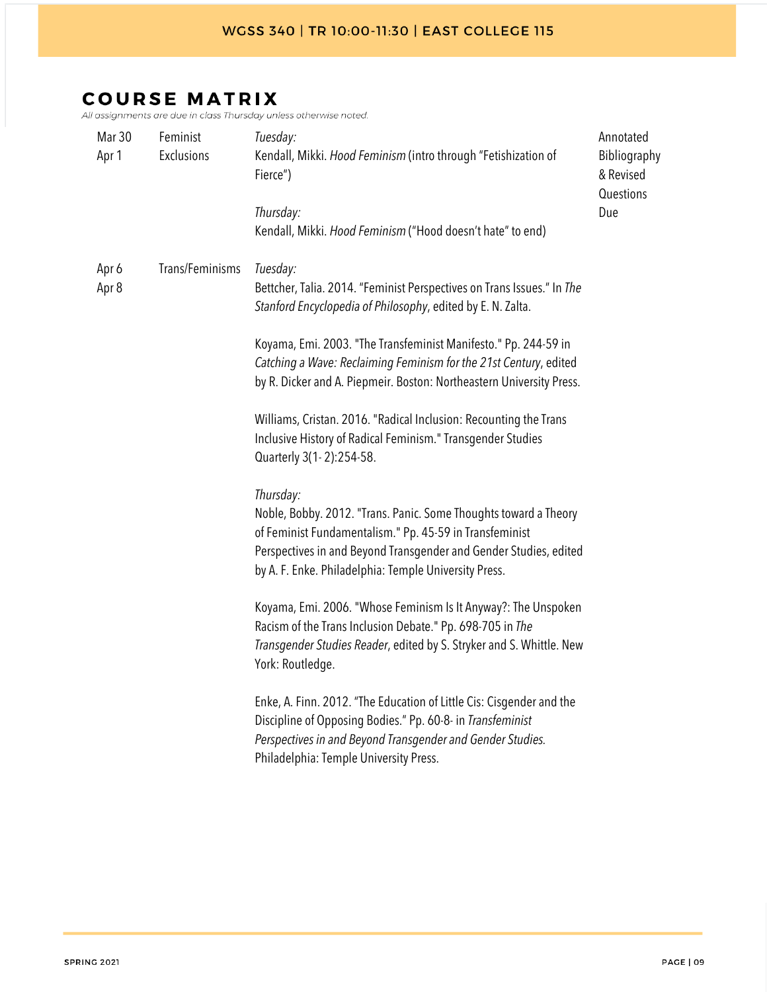| Mar 30<br>Apr 1 | Feminist<br>Exclusions | Tuesday:<br>Kendall, Mikki. Hood Feminism (intro through "Fetishization of<br>Fierce")<br>Thursday:<br>Kendall, Mikki. Hood Feminism ("Hood doesn't hate" to end)                                                                                                                                                                                                                                                                                                                                                                                                                                                                                                                                                                                                                                                                                                                                                                                                                                                                                                                                                                                                                                                                                                                    | Annotated<br>Bibliography<br>& Revised<br>Questions<br>Due |
|-----------------|------------------------|--------------------------------------------------------------------------------------------------------------------------------------------------------------------------------------------------------------------------------------------------------------------------------------------------------------------------------------------------------------------------------------------------------------------------------------------------------------------------------------------------------------------------------------------------------------------------------------------------------------------------------------------------------------------------------------------------------------------------------------------------------------------------------------------------------------------------------------------------------------------------------------------------------------------------------------------------------------------------------------------------------------------------------------------------------------------------------------------------------------------------------------------------------------------------------------------------------------------------------------------------------------------------------------|------------------------------------------------------------|
| Apr 6<br>Apr 8  | Trans/Feminisms        | Tuesday:<br>Bettcher, Talia. 2014. "Feminist Perspectives on Trans Issues." In The<br>Stanford Encyclopedia of Philosophy, edited by E. N. Zalta.<br>Koyama, Emi. 2003. "The Transfeminist Manifesto." Pp. 244-59 in<br>Catching a Wave: Reclaiming Feminism for the 21st Century, edited<br>by R. Dicker and A. Piepmeir. Boston: Northeastern University Press.<br>Williams, Cristan. 2016. "Radical Inclusion: Recounting the Trans<br>Inclusive History of Radical Feminism." Transgender Studies<br>Quarterly 3(1-2):254-58.<br>Thursday:<br>Noble, Bobby. 2012. "Trans. Panic. Some Thoughts toward a Theory<br>of Feminist Fundamentalism." Pp. 45-59 in Transfeminist<br>Perspectives in and Beyond Transgender and Gender Studies, edited<br>by A. F. Enke. Philadelphia: Temple University Press.<br>Koyama, Emi. 2006. "Whose Feminism Is It Anyway?: The Unspoken<br>Racism of the Trans Inclusion Debate." Pp. 698-705 in The<br>Transgender Studies Reader, edited by S. Stryker and S. Whittle. New<br>York: Routledge.<br>Enke, A. Finn. 2012. "The Education of Little Cis: Cisgender and the<br>Discipline of Opposing Bodies." Pp. 60-8- in Transfeminist<br>Perspectives in and Beyond Transgender and Gender Studies.<br>Philadelphia: Temple University Press. |                                                            |
|                 |                        |                                                                                                                                                                                                                                                                                                                                                                                                                                                                                                                                                                                                                                                                                                                                                                                                                                                                                                                                                                                                                                                                                                                                                                                                                                                                                      |                                                            |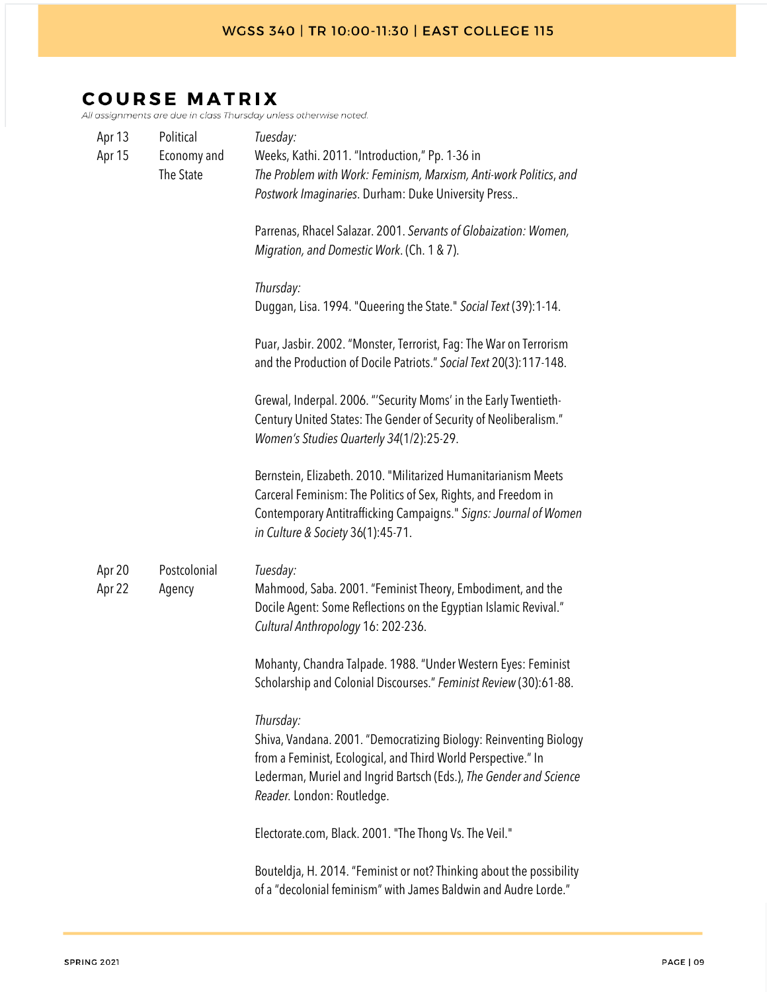| Apr 13<br>Apr 15 | Political<br>Economy and<br>The State | Tuesday:<br>Weeks, Kathi. 2011. "Introduction," Pp. 1-36 in<br>The Problem with Work: Feminism, Marxism, Anti-work Politics, and<br>Postwork Imaginaries. Durham: Duke University Press<br>Parrenas, Rhacel Salazar. 2001. Servants of Globaization: Women,<br>Migration, and Domestic Work. (Ch. 1 & 7).<br>Thursday:<br>Duggan, Lisa. 1994. "Queering the State." Social Text (39):1-14.<br>Puar, Jasbir. 2002. "Monster, Terrorist, Fag: The War on Terrorism<br>and the Production of Docile Patriots." Social Text 20(3):117-148.<br>Grewal, Inderpal. 2006. "'Security Moms' in the Early Twentieth-<br>Century United States: The Gender of Security of Neoliberalism." |
|------------------|---------------------------------------|--------------------------------------------------------------------------------------------------------------------------------------------------------------------------------------------------------------------------------------------------------------------------------------------------------------------------------------------------------------------------------------------------------------------------------------------------------------------------------------------------------------------------------------------------------------------------------------------------------------------------------------------------------------------------------|
| Apr 20<br>Apr 22 | Postcolonial<br>Agency                | Women's Studies Quarterly 34(1/2):25-29.<br>Bernstein, Elizabeth. 2010. "Militarized Humanitarianism Meets<br>Carceral Feminism: The Politics of Sex, Rights, and Freedom in<br>Contemporary Antitrafficking Campaigns." Signs: Journal of Women<br>in Culture & Society 36(1):45-71.<br>Tuesday:<br>Mahmood, Saba. 2001. "Feminist Theory, Embodiment, and the<br>Docile Agent: Some Reflections on the Egyptian Islamic Revival."<br>Cultural Anthropology 16: 202-236.                                                                                                                                                                                                      |
|                  |                                       | Mohanty, Chandra Talpade. 1988. "Under Western Eyes: Feminist<br>Scholarship and Colonial Discourses." Feminist Review (30):61-88.<br>Thursday:<br>Shiva, Vandana. 2001. "Democratizing Biology: Reinventing Biology<br>from a Feminist, Ecological, and Third World Perspective." In<br>Lederman, Muriel and Ingrid Bartsch (Eds.), The Gender and Science<br>Reader. London: Routledge.<br>Electorate.com, Black. 2001. "The Thong Vs. The Veil."<br>Bouteldja, H. 2014. "Feminist or not? Thinking about the possibility<br>of a "decolonial feminism" with James Baldwin and Audre Lorde."                                                                                 |